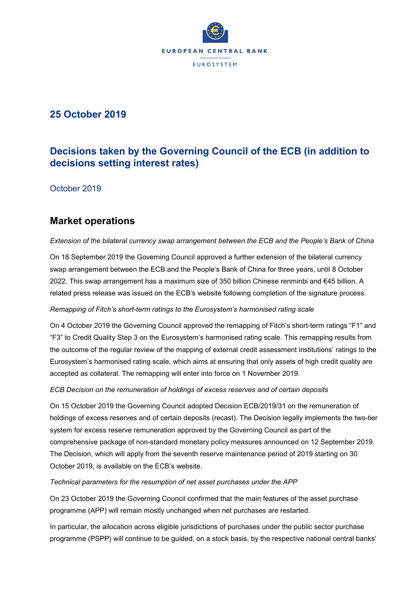

# **25 October 2019**

# **Decisions taken by the Governing Council of the ECB (in addition to decisions setting interest rates)**

October 2019

# **Market operations**

*Extension of the bilateral currency swap arrangement between the ECB and the People's Bank of China* 

On 18 September 2019 the Governing Council approved a further extension of the bilateral currency swap arrangement between the ECB and the People's Bank of China for three years, until 8 October 2022. This swap arrangement has a maximum size of 350 billion Chinese renminbi and €45 billion. A related press release was issued on the ECB's website following completion of the signature process.

## *Remapping of Fitch's short-term ratings to the Eurosystem's harmonised rating scale*

On 4 October 2019 the Governing Council approved the remapping of Fitch's short-term ratings "F1" and "F3" to Credit Quality Step 3 on the Eurosystem's harmonised rating scale. This remapping results from the outcome of the regular review of the mapping of external credit assessment institutions' ratings to the Eurosystem's harmonised rating scale, which aims at ensuring that only assets of high credit quality are accepted as collateral. The remapping will enter into force on 1 November 2019.

### *ECB Decision on the remuneration of holdings of excess reserves and of certain deposits*

On 15 October 2019 the Governing Council adopted Decision ECB/2019/31 on the remuneration of holdings of excess reserves and of certain deposits (recast). The Decision legally implements the two-tier system for excess reserve remuneration approved by the Governing Council as part of the comprehensive package of non-standard monetary policy measures announced on 12 September 2019. The Decision, which will apply from the seventh reserve maintenance period of 2019 starting on 30 October 2019, is available on the ECB's website.

### *Technical parameters for the resumption of net asset purchases under the APP*

On 23 October 2019 the Governing Council confirmed that the main features of the asset purchase programme (APP) will remain mostly unchanged when net purchases are restarted.

In particular, the allocation across eligible jurisdictions of purchases under the public sector purchase programme (PSPP) will continue to be guided, on a stock basis, by the respective national central banks'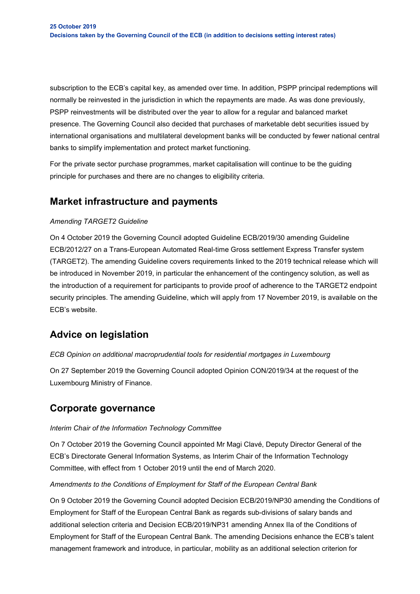subscription to the ECB's capital key, as amended over time. In addition, PSPP principal redemptions will normally be reinvested in the jurisdiction in which the repayments are made. As was done previously, PSPP reinvestments will be distributed over the year to allow for a regular and balanced market presence. The Governing Council also decided that purchases of marketable debt securities issued by international organisations and multilateral development banks will be conducted by fewer national central banks to simplify implementation and protect market functioning.

For the private sector purchase programmes, market capitalisation will continue to be the guiding principle for purchases and there are no changes to eligibility criteria.

# **Market infrastructure and payments**

### *Amending TARGET2 Guideline*

On 4 October 2019 the Governing Council adopted Guideline ECB/2019/30 amending Guideline ECB/2012/27 on a Trans-European Automated Real-time Gross settlement Express Transfer system (TARGET2). The amending Guideline covers requirements linked to the 2019 technical release which will be introduced in November 2019, in particular the enhancement of the contingency solution, as well as the introduction of a requirement for participants to provide proof of adherence to the TARGET2 endpoint security principles. The amending Guideline, which will apply from 17 November 2019, is available on the ECB's website.

# **Advice on legislation**

### *ECB Opinion on additional macroprudential tools for residential mortgages in Luxembourg*

On 27 September 2019 the Governing Council adopted Opinion CON/2019/34 at the request of the Luxembourg Ministry of Finance.

## **Corporate governance**

### *Interim Chair of the Information Technology Committee*

On 7 October 2019 the Governing Council appointed Mr Magi Clavé, Deputy Director General of the ECB's Directorate General Information Systems, as Interim Chair of the Information Technology Committee, with effect from 1 October 2019 until the end of March 2020.

### *Amendments to the Conditions of Employment for Staff of the European Central Bank*

On 9 October 2019 the Governing Council adopted Decision ECB/2019/NP30 amending the Conditions of Employment for Staff of the European Central Bank as regards sub-divisions of salary bands and additional selection criteria and Decision ECB/2019/NP31 amending Annex IIa of the Conditions of Employment for Staff of the European Central Bank. The amending Decisions enhance the ECB's talent management framework and introduce, in particular, mobility as an additional selection criterion for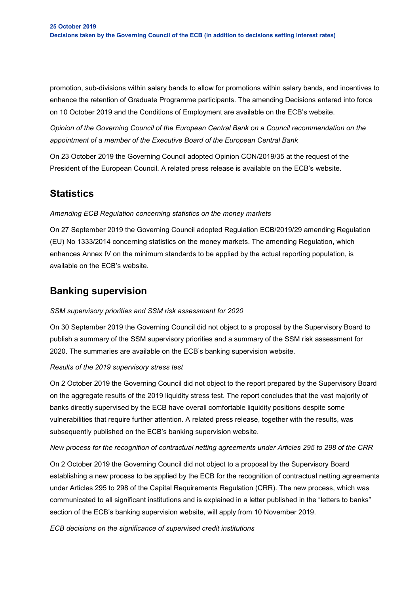promotion, sub-divisions within salary bands to allow for promotions within salary bands, and incentives to enhance the retention of Graduate Programme participants. The amending Decisions entered into force on 10 October 2019 and the Conditions of Employment are available on the ECB's website.

*Opinion of the Governing Council of the European Central Bank on a Council recommendation on the appointment of a member of the Executive Board of the European Central Bank*

On 23 October 2019 the Governing Council adopted Opinion CON/2019/35 at the request of the President of the European Council. A related press release is available on the ECB's website.

# **Statistics**

### *Amending ECB Regulation concerning statistics on the money markets*

On 27 September 2019 the Governing Council adopted Regulation ECB/2019/29 amending Regulation (EU) No 1333/2014 concerning statistics on the money markets. The amending Regulation, which enhances Annex IV on the minimum standards to be applied by the actual reporting population, is available on the ECB's website.

# **Banking supervision**

## *SSM supervisory priorities and SSM risk assessment for 2020*

On 30 September 2019 the Governing Council did not object to a proposal by the Supervisory Board to publish a summary of the SSM supervisory priorities and a summary of the SSM risk assessment for 2020. The summaries are available on the ECB's banking supervision website.

### *Results of the 2019 supervisory stress test*

On 2 October 2019 the Governing Council did not object to the report prepared by the Supervisory Board on the aggregate results of the 2019 liquidity stress test. The report concludes that the vast majority of banks directly supervised by the ECB have overall comfortable liquidity positions despite some vulnerabilities that require further attention. A related press release, together with the results, was subsequently published on the ECB's banking supervision website.

### *New process for the recognition of contractual netting agreements under Articles 295 to 298 of the CRR*

On 2 October 2019 the Governing Council did not object to a proposal by the Supervisory Board establishing a new process to be applied by the ECB for the recognition of contractual netting agreements under Articles 295 to 298 of the Capital Requirements Regulation (CRR). The new process, which was communicated to all significant institutions and is explained in a letter published in the "letters to banks" section of the ECB's banking supervision website, will apply from 10 November 2019.

*ECB decisions on the significance of supervised credit institutions*